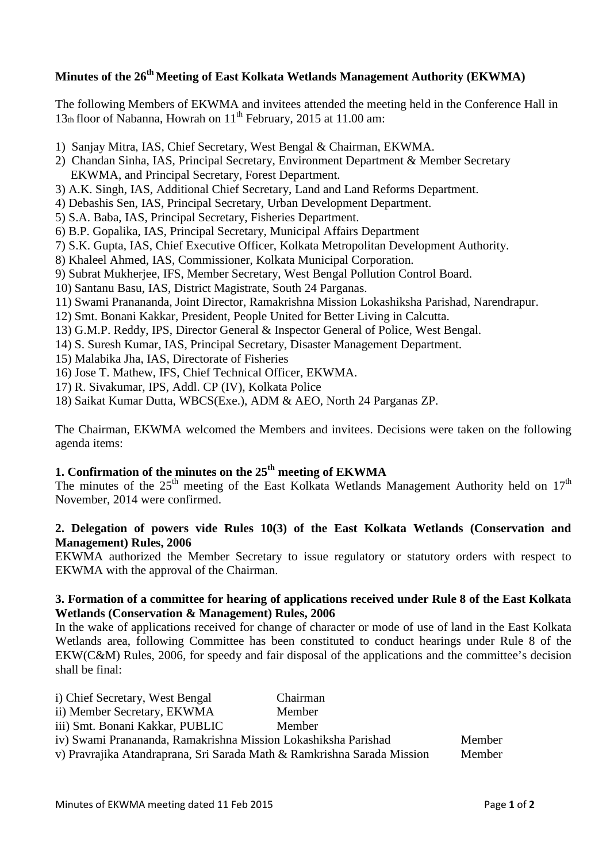# **Minutes of the 26 th Meeting of East Kolkata Wetlands Management Authority (EKWMA)**

The following Members of EKWMA and invitees attended the meeting held in the Conference Hall in 13th floor of Nabanna, Howrah on 11<sup>th</sup> February, 2015 at 11.00 am:

- 1) Sanjay Mitra, IAS, Chief Secretary, West Bengal & Chairman, EKWMA.
- 2) Chandan Sinha, IAS, Principal Secretary, Environment Department & Member Secretary EKWMA, and Principal Secretary, Forest Department.
- 3) A.K. Singh, IAS, Additional Chief Secretary, Land and Land Reforms Department.
- 4) Debashis Sen, IAS, Principal Secretary, Urban Development Department.
- 5) S.A. Baba, IAS, Principal Secretary, Fisheries Department.
- 6) B.P. Gopalika, IAS, Principal Secretary, Municipal Affairs Department
- 7) S.K. Gupta, IAS, Chief Executive Officer, Kolkata Metropolitan Development Authority.
- 8) Khaleel Ahmed, IAS, Commissioner, Kolkata Municipal Corporation.
- 9) Subrat Mukherjee, IFS, Member Secretary, West Bengal Pollution Control Board.
- 10) Santanu Basu, IAS, District Magistrate, South 24 Parganas.
- 11) Swami Pranananda, Joint Director, Ramakrishna Mission Lokashiksha Parishad, Narendrapur.
- 12) Smt. Bonani Kakkar, President, People United for Better Living in Calcutta.
- 13) G.M.P. Reddy, IPS, Director General & Inspector General of Police, West Bengal.
- 14) S. Suresh Kumar, IAS, Principal Secretary, Disaster Management Department.
- 15) Malabika Jha, IAS, Directorate of Fisheries
- 16) Jose T. Mathew, IFS, Chief Technical Officer, EKWMA.
- 17) R. Sivakumar, IPS, Addl. CP (IV), Kolkata Police
- 18) Saikat Kumar Dutta, WBCS(Exe.), ADM & AEO, North 24 Parganas ZP.

The Chairman, EKWMA welcomed the Members and invitees. Decisions were taken on the following agenda items:

# **1. Confirmation of the minutes on the 25 th meeting of EKWMA**

The minutes of the  $25<sup>th</sup>$  meeting of the East Kolkata Wetlands Management Authority held on  $17<sup>th</sup>$ November, 2014 were confirmed.

### **2. Delegation of powers vide Rules 10(3) of the East Kolkata Wetlands (Conservation and Management) Rules, 2006**

EKWMA authorized the Member Secretary to issue regulatory or statutory orders with respect to EKWMA with the approval of the Chairman.

### **3. Formation of a committee for hearing of applications received under Rule 8 of the East Kolkata Wetlands (Conservation & Management) Rules, 2006**

In the wake of applications received for change of character or mode of use of land in the East Kolkata Wetlands area, following Committee has been constituted to conduct hearings under Rule 8 of the EKW(C&M) Rules, 2006, for speedy and fair disposal of the applications and the committee's decision shall be final:

| i) Chief Secretary, West Bengal                                         | Chairman |        |
|-------------------------------------------------------------------------|----------|--------|
| ii) Member Secretary, EKWMA                                             | Member   |        |
| iii) Smt. Bonani Kakkar, PUBLIC                                         | Member   |        |
| iv) Swami Pranananda, Ramakrishna Mission Lokashiksha Parishad          |          | Member |
| v) Pravrajika Atandraprana, Sri Sarada Math & Ramkrishna Sarada Mission |          | Member |